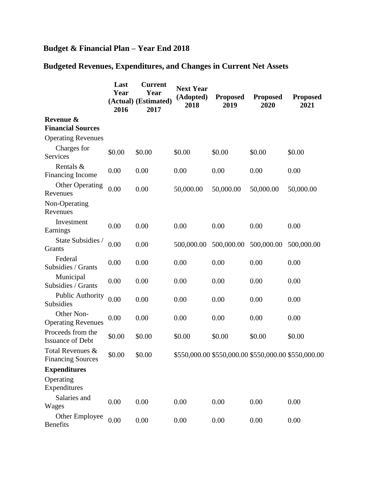## **Budget & Financial Plan – Year End 2018**

## **Budgeted Revenues, Expenditures, and Changes in Current Net Assets**

|                                              | Last<br>Year<br>2016 | <b>Current</b><br>Year<br>(Actual) (Estimated)<br>2017 | <b>Next Year</b><br>(Adopted)<br>2018 | <b>Proposed</b><br>2019 | <b>Proposed</b><br>2020 | <b>Proposed</b><br>2021                             |
|----------------------------------------------|----------------------|--------------------------------------------------------|---------------------------------------|-------------------------|-------------------------|-----------------------------------------------------|
| Revenue &<br><b>Financial Sources</b>        |                      |                                                        |                                       |                         |                         |                                                     |
| <b>Operating Revenues</b>                    |                      |                                                        |                                       |                         |                         |                                                     |
| Charges for<br><b>Services</b>               | \$0.00               | \$0.00                                                 | \$0.00                                | \$0.00                  | \$0.00                  | \$0.00                                              |
| Rentals &<br><b>Financing Income</b>         | 0.00                 | 0.00                                                   | 0.00                                  | 0.00                    | 0.00                    | 0.00                                                |
| <b>Other Operating</b><br>Revenues           | 0.00                 | 0.00                                                   | 50,000.00                             | 50,000.00               | 50,000.00               | 50,000.00                                           |
| Non-Operating<br>Revenues                    |                      |                                                        |                                       |                         |                         |                                                     |
| Investment<br>Earnings                       | 0.00                 | 0.00                                                   | 0.00                                  | 0.00                    | 0.00                    | 0.00                                                |
| State Subsidies /<br>Grants                  | 0.00                 | 0.00                                                   | 500,000.00                            | 500,000.00              | 500,000.00              | 500,000.00                                          |
| Federal<br>Subsidies / Grants                | 0.00                 | 0.00                                                   | 0.00                                  | 0.00                    | 0.00                    | 0.00                                                |
| Municipal<br>Subsidies / Grants              | 0.00                 | 0.00                                                   | 0.00                                  | 0.00                    | 0.00                    | 0.00                                                |
| <b>Public Authority</b><br><b>Subsidies</b>  | 0.00                 | 0.00                                                   | 0.00                                  | 0.00                    | 0.00                    | 0.00                                                |
| Other Non-<br><b>Operating Revenues</b>      | 0.00                 | 0.00                                                   | 0.00                                  | 0.00                    | 0.00                    | 0.00                                                |
| Proceeds from the<br><b>Issuance of Debt</b> | \$0.00               | \$0.00                                                 | \$0.00                                | \$0.00                  | \$0.00                  | \$0.00                                              |
| Total Revenues &<br><b>Financing Sources</b> | \$0.00               | \$0.00                                                 |                                       |                         |                         | \$550,000.00 \$550,000.00 \$550,000.00 \$550,000.00 |
| <b>Expenditures</b>                          |                      |                                                        |                                       |                         |                         |                                                     |
| Operating<br>Expenditures                    |                      |                                                        |                                       |                         |                         |                                                     |
| Salaries and<br>Wages                        | 0.00                 | 0.00                                                   | 0.00                                  | 0.00                    | 0.00                    | 0.00                                                |
| Other Employee<br><b>Benefits</b>            | 0.00                 | 0.00                                                   | 0.00                                  | 0.00                    | 0.00                    | 0.00                                                |